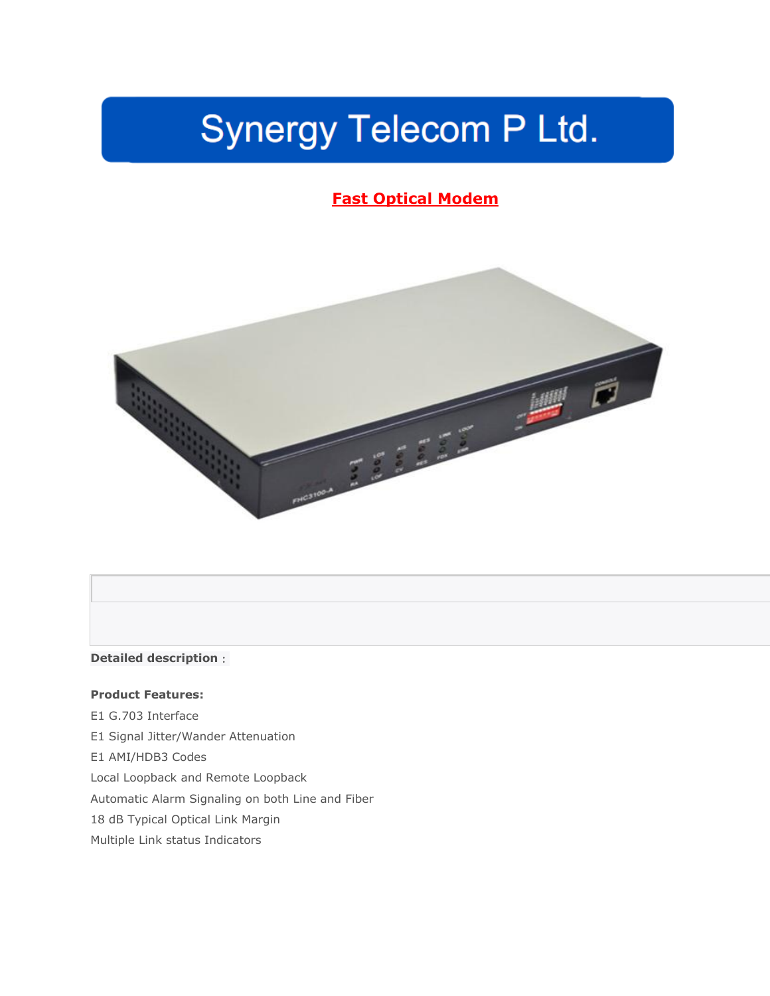# Synergy Telecom P Ltd.

## **Fast Optical Modem**



### **Detailed description**:

#### **Product Features:**

E1 G.703 Interface E1 Signal Jitter/Wander Attenuation E1 AMI/HDB3 Codes Local Loopback and Remote Loopback Automatic Alarm Signaling on both Line and Fiber 18 dB Typical Optical Link Margin Multiple Link status Indicators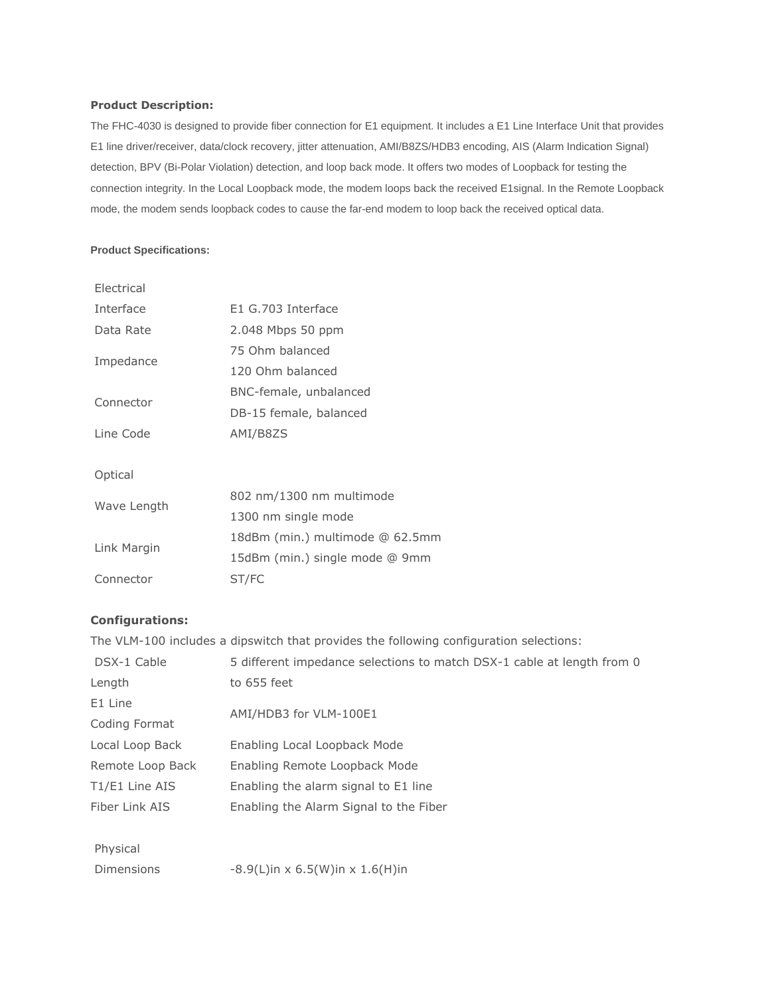#### **Product Description:**

The FHC-4030 is designed to provide fiber connection for E1 equipment. It includes a E1 Line Interface Unit that provides E1 line driver/receiver, data/clock recovery, jitter attenuation, AMI/B8ZS/HDB3 encoding, AIS (Alarm Indication Signal) detection, BPV (Bi-Polar Violation) detection, and loop back mode. It offers two modes of Loopback for testing the connection integrity. In the Local Loopback mode, the modem loops back the received E1signal. In the Remote Loopback mode, the modem sends loopback codes to cause the far-end modem to loop back the received optical data.

#### **Product Specifications:**

| Electrical  |                                 |  |
|-------------|---------------------------------|--|
| Interface   | E1 G.703 Interface              |  |
| Data Rate   | 2.048 Mbps 50 ppm               |  |
| Impedance   | 75 Ohm balanced                 |  |
|             | 120 Ohm balanced                |  |
|             | BNC-female, unbalanced          |  |
| Connector   | DB-15 female, balanced          |  |
| Line Code   | AMI/B8ZS                        |  |
|             |                                 |  |
| Optical     |                                 |  |
| Wave Length | 802 nm/1300 nm multimode        |  |
|             | 1300 nm single mode             |  |
| Link Margin | 18dBm (min.) multimode @ 62.5mm |  |
|             | 15dBm (min.) single mode @ 9mm  |  |
| Connector   | ST/FC                           |  |

#### **Configurations:**

The VLM-100 includes a dipswitch that provides the following configuration selections:

| DSX-1 Cable      | 5 different impedance selections to match DSX-1 cable at length from 0 |  |
|------------------|------------------------------------------------------------------------|--|
| Length           | to 655 feet                                                            |  |
| E1 Line          | AMI/HDB3 for VLM-100E1                                                 |  |
| Coding Format    |                                                                        |  |
| Local Loop Back  | Enabling Local Loopback Mode                                           |  |
| Remote Loop Back | Enabling Remote Loopback Mode                                          |  |
| T1/E1 Line AIS   | Enabling the alarm signal to E1 line                                   |  |
| Fiber Link AIS   | Enabling the Alarm Signal to the Fiber                                 |  |
|                  |                                                                        |  |
| Physical         |                                                                        |  |

Dimensions  $-8.9(L)$ in x 6.5(W)in x 1.6(H)in